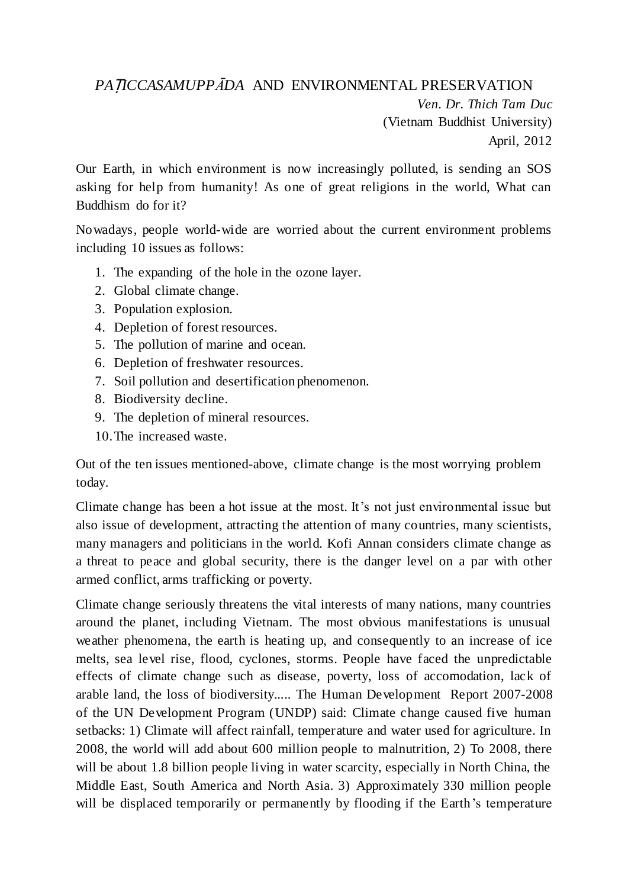## *PA*Ṭ*ICCASAMUPPĀDA* AND ENVIRONMENTAL PRESERVATION

*Ven. Dr. Thich Tam Duc* (Vietnam Buddhist University) April, 2012

Our Earth, in which environment is now increasingly polluted, is sending an SOS asking for help from humanity! As one of great religions in the world, What can Buddhism do for it?

Nowadays, people world-wide are worried about the current environment problems including 10 issues as follows:

- 1. The expanding of the hole in the ozone layer.
- 2. Global climate change.
- 3. Population explosion.
- 4. Depletion of forest resources.
- 5. The pollution of marine and ocean.
- 6. Depletion of freshwater resources.
- 7. Soil pollution and desertification phenomenon.
- 8. Biodiversity decline.
- 9. The depletion of mineral resources.
- 10.The increased waste.

Out of the ten issues mentioned-above, climate change is the most worrying problem today.

Climate change has been a hot issue at the most. It's not just environmental issue but also issue of development, attracting the attention of many countries, many scientists, many managers and politicians in the world. Kofi Annan considers climate change as a threat to peace and global security, there is the danger level on a par with other armed conflict, arms trafficking or poverty.

Climate change seriously threatens the vital interests of many nations, many countries around the planet, including Vietnam. The most obvious manifestations is unusual weather phenomena, the earth is heating up, and consequently to an increase of ice melts, sea level rise, flood, cyclones, storms. People have faced the unpredictable effects of climate change such as disease, poverty, loss of accomodation, lack of arable land, the loss of biodiversity..... The Human Development Report 2007-2008 of the UN Development Program (UNDP) said: Climate change caused five human setbacks: 1) Climate will affect rainfall, temperature and water used for agriculture. In 2008, the world will add about 600 million people to malnutrition, 2) To 2008, there will be about 1.8 billion people living in water scarcity, especially in North China, the Middle East, South America and North Asia. 3) Approximately 330 million people will be displaced temporarily or permanently by flooding if the Earth's temperature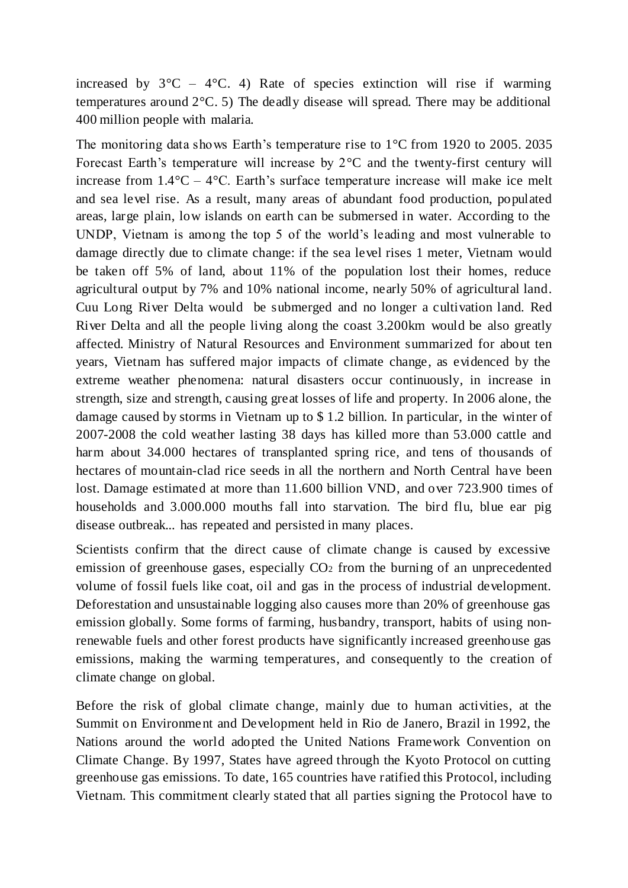increased by  $3^{\circ}C - 4^{\circ}C$ . 4) Rate of species extinction will rise if warming temperatures around 2°C. 5) The deadly disease will spread. There may be additional 400 million people with malaria.

The monitoring data shows Earth's temperature rise to 1°C from 1920 to 2005. 2035 Forecast Earth's temperature will increase by 2°C and the twenty-first century will increase from  $1.4\degree$ C –  $4\degree$ C. Earth's surface temperature increase will make ice melt and sea level rise. As a result, many areas of abundant food production, populated areas, large plain, low islands on earth can be submersed in water. According to the UNDP, Vietnam is among the top 5 of the world's leading and most vulnerable to damage directly due to climate change: if the sea level rises 1 meter, Vietnam would be taken off 5% of land, about 11% of the population lost their homes, reduce agricultural output by 7% and 10% national income, nearly 50% of agricultural land. Cuu Long River Delta would be submerged and no longer a cultivation land. Red River Delta and all the people living along the coast 3.200km would be also greatly affected. Ministry of Natural Resources and Environment summarized for about ten years, Vietnam has suffered major impacts of climate change, as evidenced by the extreme weather phenomena: natural disasters occur continuously, in increase in strength, size and strength, causing great losses of life and property. In 2006 alone, the damage caused by storms in Vietnam up to \$ 1.2 billion. In particular, in the winter of 2007-2008 the cold weather lasting 38 days has killed more than 53.000 cattle and harm about 34.000 hectares of transplanted spring rice, and tens of thousands of hectares of mountain-clad rice seeds in all the northern and North Central have been lost. Damage estimated at more than 11.600 billion VND, and over 723.900 times of households and 3.000.000 mouths fall into starvation. The bird flu, blue ear pig disease outbreak... has repeated and persisted in many places.

Scientists confirm that the direct cause of climate change is caused by excessive emission of greenhouse gases, especially  $CO<sub>2</sub>$  from the burning of an unprecedented volume of fossil fuels like coat, oil and gas in the process of industrial development. Deforestation and unsustainable logging also causes more than 20% of greenhouse gas emission globally. Some forms of farming, husbandry, transport, habits of using nonrenewable fuels and other forest products have significantly increased greenhouse gas emissions, making the warming temperatures, and consequently to the creation of climate change on global.

Before the risk of global climate change, mainly due to human activities, at the Summit on Environment and Development held in Rio de Janero, Brazil in 1992, the Nations around the world adopted the United Nations Framework Convention on Climate Change. By 1997, States have agreed through the Kyoto Protocol on cutting greenhouse gas emissions. To date, 165 countries have ratified this Protocol, including Vietnam. This commitment clearly stated that all parties signing the Protocol have to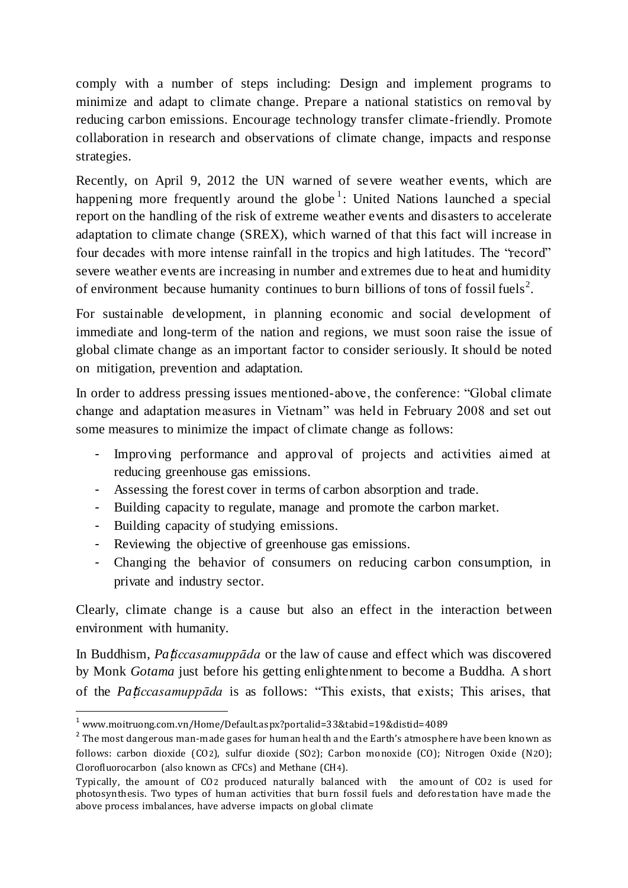comply with a number of steps including: Design and implement programs to minimize and adapt to climate change. Prepare a national statistics on removal by reducing carbon emissions. Encourage technology transfer climate-friendly. Promote collaboration in research and observations of climate change, impacts and response strategies.

Recently, on April 9, 2012 the UN warned of severe weather events, which are happening more frequently around the globe<sup>1</sup>: United Nations launched a special report on the handling of the risk of extreme weather events and disasters to accelerate adaptation to climate change (SREX), which warned of that this fact will increase in four decades with more intense rainfall in the tropics and high latitudes. The "record" severe weather events are increasing in number and extremes due to heat and humidity of environment because humanity continues to burn billions of tons of fossil fuels<sup>2</sup>.

For sustainable development, in planning economic and social development of immediate and long-term of the nation and regions, we must soon raise the issue of global climate change as an important factor to consider seriously. It should be noted on mitigation, prevention and adaptation.

In order to address pressing issues mentioned-above, the conference: "Global climate change and adaptation measures in Vietnam" was held in February 2008 and set out some measures to minimize the impact of climate change as follows:

- Improving performance and approval of projects and activities aimed at reducing greenhouse gas emissions.
- Assessing the forest cover in terms of carbon absorption and trade.
- Building capacity to regulate, manage and promote the carbon market.
- Building capacity of studying emissions.

 $\overline{a}$ 

- Reviewing the objective of greenhouse gas emissions.
- Changing the behavior of consumers on reducing carbon consumption, in private and industry sector.

Clearly, climate change is a cause but also an effect in the interaction between environment with humanity.

In Buddhism, *Pa*ṭ*iccasamuppāda* or the law of cause and effect which was discovered by Monk *Gotama* just before his getting enlightenment to become a Buddha. A short of the *Pa*ṭ*iccasamuppāda* is as follows: "This exists, that exists; This arises, that

<sup>1</sup> www.moitruong.com.vn/Home/Default.aspx?portalid=33&tabid=19&distid=4089

 $^2$  The most dangerous man-made gases for human heal th and the Earth's atmosphere have been known as follows: carbon dioxide (CO2), sulfur dioxide (SO2); Carbon monoxide (CO); Nitrogen Oxide (N2O); Clorofluorocarbon (also known as CFCs) and Methane (CH4).

Typically, the amount of CO2 produced naturally balanced with the amount of CO2 is used for photosynthesis. Two types of human activities that burn fossil fuels and deforestation have made the above process imbalances, have adverse impacts on global climate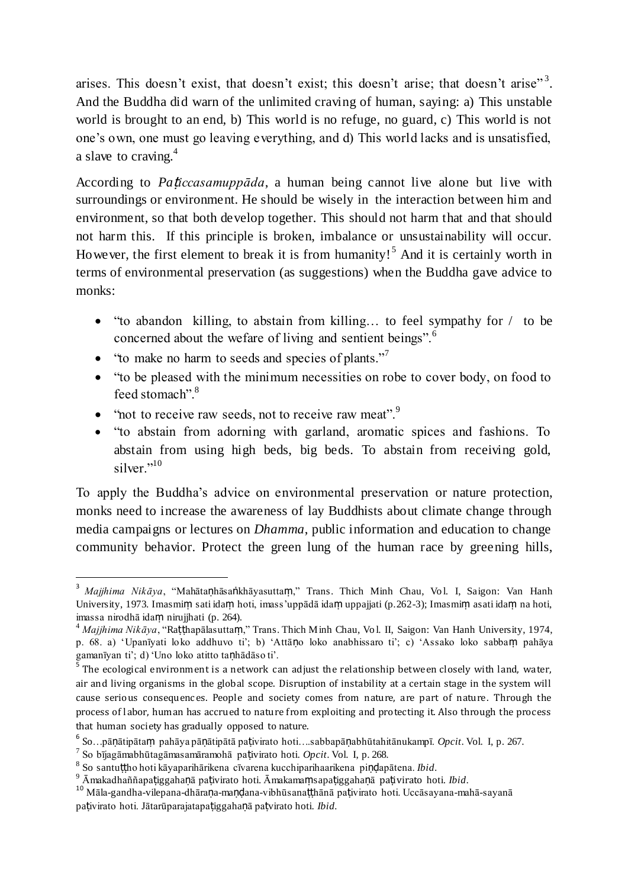arises. This doesn't exist, that doesn't exist; this doesn't arise; that doesn't arise"<sup>3</sup>. And the Buddha did warn of the unlimited craving of human, saying: a) This unstable world is brought to an end, b) This world is no refuge, no guard, c) This world is not one's own, one must go leaving everything, and d) This world lacks and is unsatisfied, a slave to craving.<sup>4</sup>

According to *Pa*ṭ*iccasamuppāda*, a human being cannot live alone but live with surroundings or environment. He should be wisely in the interaction between him and environment, so that both develop together. This should not harm that and that should not harm this. If this principle is broken, imbalance or unsustainability will occur. However, the first element to break it is from humanity!<sup>5</sup> And it is certainly worth in terms of environmental preservation (as suggestions) when the Buddha gave advice to monks:

- "to abandon killing, to abstain from killing… to feel sympathy for / to be concerned about the wefare of living and sentient beings".<sup>6</sup>
- $\bullet$  "to make no harm to seeds and species of plants."<sup>7</sup>
- "to be pleased with the minimum necessities on robe to cover body, on food to feed stomach".<sup>8</sup>
- $\bullet$  "not to receive raw seeds, not to receive raw meat".<sup>9</sup>
- "to abstain from adorning with garland, aromatic spices and fashions. To abstain from using high beds, big beds. To abstain from receiving gold, silver." $10$

To apply the Buddha's advice on environmental preservation or nature protection, monks need to increase the awareness of lay Buddhists about climate change through media campaigns or lectures on *Dhamma*, public information and education to change community behavior. Protect the green lung of the human race by greening hills,

 $\overline{a}$ 

<sup>&</sup>lt;sup>3</sup> Majjhima Nikāya, "Mahātaṇhāsaṅkhāyasuttaṃ," Trans. Thich Minh Chau, Vol. I, Saigon: Van Hanh University, 1973. Imasmiṃ sati idaṃ hoti, imass'uppādā idaṃ uppajjati (p.262-3); Imasmiṃ asati idaṃ na hoti, imassa nirodhā idaṃ nirujjhati (p. 264).

<sup>4</sup> *Majjhima Nikāya*, "Raṭṭhapālasuttaṃ," Trans. Thich Minh Chau, Vo l. II, Saigon: Van Hanh University, 1974, p. 68. a) 'Upanīyati loko addhuvo ti'; b) 'Attāṇo loko anabhissaro ti'; c) 'Assako loko sabbaṃ pahāya gamanīyan ti'; d) 'Uno loko atitto taṇhādāso ti'.

 $^5$  The ecological environment is a network can adjust the relationship between closely with land, water, air and living organisms in the global scope. Disruption of instability at a certain stage in the system will cause serious consequences. People and society comes from nature, are part of nature. Through the process of l abor, human has accrued to nature from exploiting and protecting it. Also through the process that human society has gradually opposed to nature.

<sup>6</sup> So…pāṇātipātaṃ pahāya pāṇātipātā paṭivirato hoti….sabbapāṇabhūtahitānukampī. *Opcit*. Vol. I, p. 267.

<sup>7</sup> So bījagāmabhūtagāmasamāramohā paṭivirato hoti. *Opcit*. Vol. I, p. 268.

<sup>8</sup> So santuṭṭho hoti kāyaparihārikena cīvarena kucchiparihaarikena piṇḍapātena. *Ibid*.

<sup>9</sup> Āmakadhaññapaṭiggahaṇā paṭivirato hoti. Āmakamaṃsapaṭiggahaṇā paṭivirato hoti. *Ibid*.

<sup>10</sup> Māla-gandha-vilepana-dhāraṇa-maṇḍana-vibhūsanaṭṭhānā paṭivirato hoti. Uccāsayana-mahā-sayanā paṭivirato hoti. Jātarūparajatapaṭiggahaṇā paṭvirato hoti. *Ibid.*